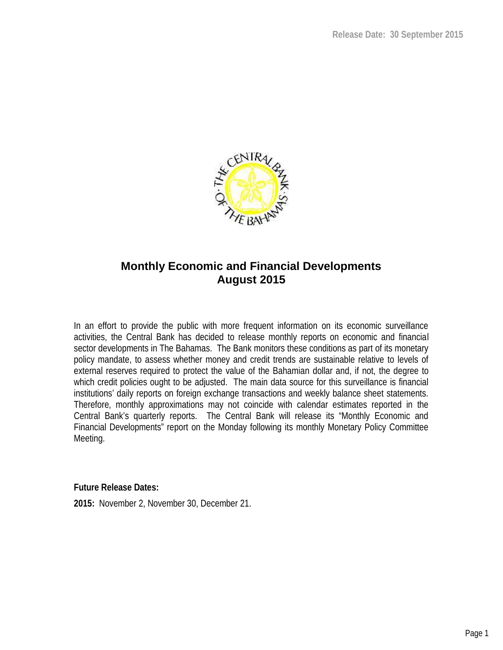

# **Monthly Economic and Financial Developments August 2015**

In an effort to provide the public with more frequent information on its economic surveillance activities, the Central Bank has decided to release monthly reports on economic and financial sector developments in The Bahamas. The Bank monitors these conditions as part of its monetary policy mandate, to assess whether money and credit trends are sustainable relative to levels of external reserves required to protect the value of the Bahamian dollar and, if not, the degree to which credit policies ought to be adjusted. The main data source for this surveillance is financial institutions' daily reports on foreign exchange transactions and weekly balance sheet statements. Therefore, monthly approximations may not coincide with calendar estimates reported in the Central Bank's quarterly reports. The Central Bank will release its "Monthly Economic and Financial Developments" report on the Monday following its monthly Monetary Policy Committee Meeting.

**Future Release Dates:**

**2015:** November 2, November 30, December 21.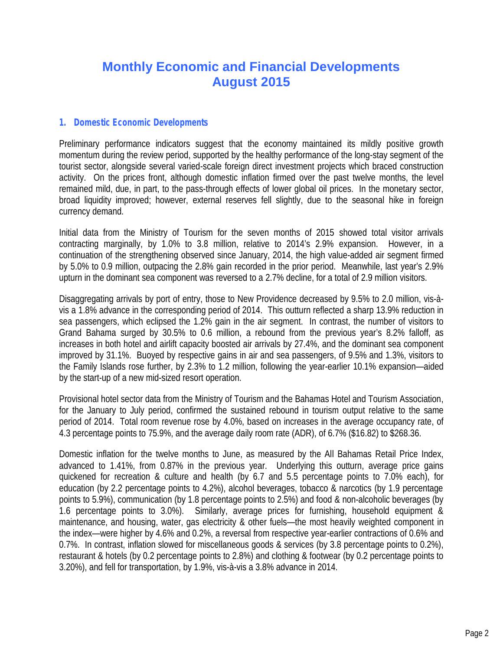# **Monthly Economic and Financial Developments August 2015**

# *1. Domestic Economic Developments*

Preliminary performance indicators suggest that the economy maintained its mildly positive growth momentum during the review period, supported by the healthy performance of the long-stay segment of the tourist sector, alongside several varied-scale foreign direct investment projects which braced construction activity. On the prices front, although domestic inflation firmed over the past twelve months, the level remained mild, due, in part, to the pass-through effects of lower global oil prices. In the monetary sector, broad liquidity improved; however, external reserves fell slightly, due to the seasonal hike in foreign currency demand.

Initial data from the Ministry of Tourism for the seven months of 2015 showed total visitor arrivals contracting marginally, by 1.0% to 3.8 million, relative to 2014's 2.9% expansion. However, in a continuation of the strengthening observed since January, 2014, the high value-added air segment firmed by 5.0% to 0.9 million, outpacing the 2.8% gain recorded in the prior period. Meanwhile, last year's 2.9% upturn in the dominant sea component was reversed to a 2.7% decline, for a total of 2.9 million visitors.

Disaggregating arrivals by port of entry, those to New Providence decreased by 9.5% to 2.0 million, vis-à vis a 1.8% advance in the corresponding period of 2014. This outturn reflected a sharp 13.9% reduction in sea passengers, which eclipsed the 1.2% gain in the air segment. In contrast, the number of visitors to Grand Bahama surged by 30.5% to 0.6 million, a rebound from the previous year's 8.2% falloff, as increases in both hotel and airlift capacity boosted air arrivals by 27.4%, and the dominant sea component improved by 31.1%. Buoyed by respective gains in air and sea passengers, of 9.5% and 1.3%, visitors to the Family Islands rose further, by 2.3% to 1.2 million, following the year-earlier 10.1% expansion—aided by the start-up of a new mid-sized resort operation.

Provisional hotel sector data from the Ministry of Tourism and the Bahamas Hotel and Tourism Association, for the January to July period, confirmed the sustained rebound in tourism output relative to the same period of 2014. Total room revenue rose by 4.0%, based on increases in the average occupancy rate, of 4.3 percentage points to 75.9%, and the average daily room rate (ADR), of 6.7% (\$16.82) to \$268.36.

Domestic inflation for the twelve months to June, as measured by the All Bahamas Retail Price Index, advanced to 1.41%, from 0.87% in the previous year. Underlying this outturn, average price gains quickened for recreation & culture and health (by 6.7 and 5.5 percentage points to 7.0% each), for education (by 2.2 percentage points to 4.2%), alcohol beverages, tobacco & narcotics (by 1.9 percentage points to 5.9%), communication (by 1.8 percentage points to 2.5%) and food & non-alcoholic beverages (by 1.6 percentage points to 3.0%). Similarly, average prices for furnishing, household equipment & maintenance, and housing, water, gas electricity & other fuels—the most heavily weighted component in the index—were higher by 4.6% and 0.2%, a reversal from respective year-earlier contractions of 0.6% and 0.7%. In contrast, inflation slowed for miscellaneous goods & services (by 3.8 percentage points to 0.2%), restaurant & hotels (by 0.2 percentage points to 2.8%) and clothing & footwear (by 0.2 percentage points to 3.20%), and fell for transportation, by 1.9%, vis-à-vis a 3.8% advance in 2014.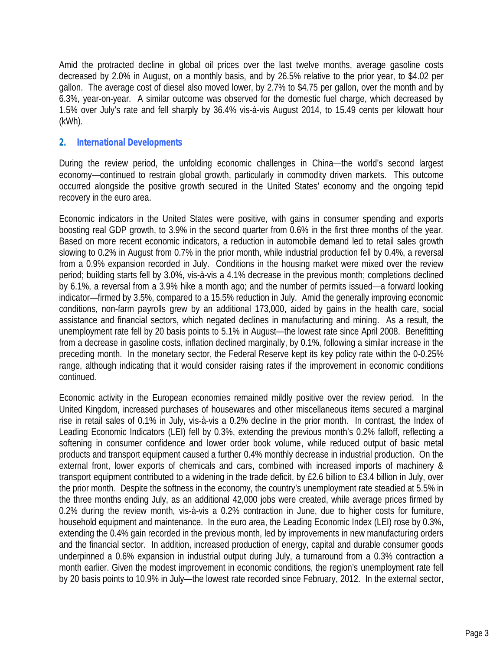Amid the protracted decline in global oil prices over the last twelve months, average gasoline costs decreased by 2.0% in August, on a monthly basis, and by 26.5% relative to the prior year, to \$4.02 per gallon. The average cost of diesel also moved lower, by 2.7% to \$4.75 per gallon, over the month and by 6.3%, year-on-year. A similar outcome was observed for the domestic fuel charge, which decreased by 1.5% over July's rate and fell sharply by 36.4% vis-à-vis August 2014, to 15.49 cents per kilowatt hour (kWh).

# *2. International Developments*

During the review period, the unfolding economic challenges in China—the world's second largest economy—continued to restrain global growth, particularly in commodity driven markets. This outcome occurred alongside the positive growth secured in the United States' economy and the ongoing tepid recovery in the euro area.

Economic indicators in the United States were positive, with gains in consumer spending and exports boosting real GDP growth, to 3.9% in the second quarter from 0.6% in the first three months of the year. Based on more recent economic indicators, a reduction in automobile demand led to retail sales growth slowing to 0.2% in August from 0.7% in the prior month, while industrial production fell by 0.4%, a reversal from a 0.9% expansion recorded in July. Conditions in the housing market were mixed over the review period; building starts fell by 3.0%, vis-à-vis a 4.1% decrease in the previous month; completions declined by 6.1%, a reversal from a 3.9% hike a month ago; and the number of permits issued—a forward looking indicator—firmed by 3.5%, compared to a 15.5% reduction in July. Amid the generally improving economic conditions, non-farm payrolls grew by an additional 173,000, aided by gains in the health care, social assistance and financial sectors, which negated declines in manufacturing and mining. As a result, the unemployment rate fell by 20 basis points to 5.1% in August—the lowest rate since April 2008. Benefitting from a decrease in gasoline costs, inflation declined marginally, by 0.1%, following a similar increase in the preceding month. In the monetary sector, the Federal Reserve kept its key policy rate within the 0-0.25% range, although indicating that it would consider raising rates if the improvement in economic conditions continued.

Economic activity in the European economies remained mildly positive over the review period. In the United Kingdom, increased purchases of housewares and other miscellaneous items secured a marginal rise in retail sales of 0.1% in July, vis-à-vis a 0.2% decline in the prior month. In contrast, the Index of Leading Economic Indicators (LEI) fell by 0.3%, extending the previous month's 0.2% falloff, reflecting a softening in consumer confidence and lower order book volume, while reduced output of basic metal products and transport equipment caused a further 0.4% monthly decrease in industrial production. On the external front, lower exports of chemicals and cars, combined with increased imports of machinery & transport equipment contributed to a widening in the trade deficit, by £2.6 billion to £3.4 billion in July, over the prior month. Despite the softness in the economy, the country's unemployment rate steadied at 5.5% in the three months ending July, as an additional 42,000 jobs were created, while average prices firmed by 0.2% during the review month, vis-à-vis a 0.2% contraction in June, due to higher costs for furniture, household equipment and maintenance. In the euro area, the Leading Economic Index (LEI) rose by 0.3%, extending the 0.4% gain recorded in the previous month, led by improvements in new manufacturing orders and the financial sector. In addition, increased production of energy, capital and durable consumer goods underpinned a 0.6% expansion in industrial output during July, a turnaround from a 0.3% contraction a month earlier. Given the modest improvement in economic conditions, the region's unemployment rate fell by 20 basis points to 10.9% in July—the lowest rate recorded since February, 2012. In the external sector,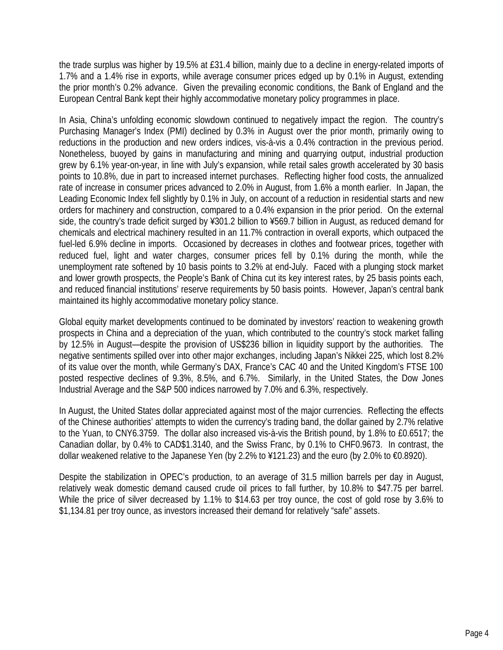the trade surplus was higher by 19.5% at £31.4 billion, mainly due to a decline in energy-related imports of 1.7% and a 1.4% rise in exports, while average consumer prices edged up by 0.1% in August, extending the prior month's 0.2% advance. Given the prevailing economic conditions, the Bank of England and the European Central Bank kept their highly accommodative monetary policy programmes in place.

In Asia, China's unfolding economic slowdown continued to negatively impact the region. The country's Purchasing Manager's Index (PMI) declined by 0.3% in August over the prior month, primarily owing to reductions in the production and new orders indices, vis-à-vis a 0.4% contraction in the previous period. Nonetheless, buoyed by gains in manufacturing and mining and quarrying output, industrial production grew by 6.1% year-on-year, in line with July's expansion, while retail sales growth accelerated by 30 basis points to 10.8%, due in part to increased internet purchases. Reflecting higher food costs, the annualized rate of increase in consumer prices advanced to 2.0% in August, from 1.6% a month earlier. In Japan, the Leading Economic Index fell slightly by 0.1% in July, on account of a reduction in residential starts and new orders for machinery and construction, compared to a 0.4% expansion in the prior period. On the external side, the country's trade deficit surged by ¥301.2 billion to ¥569.7 billion in August, as reduced demand for chemicals and electrical machinery resulted in an 11.7% contraction in overall exports, which outpaced the fuel-led 6.9% decline in imports. Occasioned by decreases in clothes and footwear prices, together with reduced fuel, light and water charges, consumer prices fell by 0.1% during the month, while the unemployment rate softened by 10 basis points to 3.2% at end-July. Faced with a plunging stock market and lower growth prospects, the People's Bank of China cut its key interest rates, by 25 basis points each, and reduced financial institutions' reserve requirements by 50 basis points. However, Japan's central bank maintained its highly accommodative monetary policy stance.

Global equity market developments continued to be dominated by investors' reaction to weakening growth prospects in China and a depreciation of the yuan, which contributed to the country's stock market falling by 12.5% in August—despite the provision of US\$236 billion in liquidity support by the authorities. The negative sentiments spilled over into other major exchanges, including Japan's Nikkei 225, which lost 8.2% of its value over the month, while Germany's DAX, France's CAC 40 and the United Kingdom's FTSE 100 posted respective declines of 9.3%, 8.5%, and 6.7%. Similarly, in the United States, the Dow Jones Industrial Average and the S&P 500 indices narrowed by 7.0% and 6.3%, respectively.

In August, the United States dollar appreciated against most of the major currencies. Reflecting the effects of the Chinese authorities' attempts to widen the currency's trading band, the dollar gained by 2.7% relative to the Yuan, to CNY6.3759. The dollar also increased vis-à-vis the British pound, by 1.8% to £0.6517; the Canadian dollar, by 0.4% to CAD\$1.3140, and the Swiss Franc, by 0.1% to CHF0.9673. In contrast, the dollar weakened relative to the Japanese Yen (by 2.2% to ¥121.23) and the euro (by 2.0% to €0.8920).

Despite the stabilization in OPEC's production, to an average of 31.5 million barrels per day in August, relatively weak domestic demand caused crude oil prices to fall further, by 10.8% to \$47.75 per barrel. While the price of silver decreased by 1.1% to \$14.63 per troy ounce, the cost of gold rose by 3.6% to \$1,134.81 per troy ounce, as investors increased their demand for relatively "safe" assets.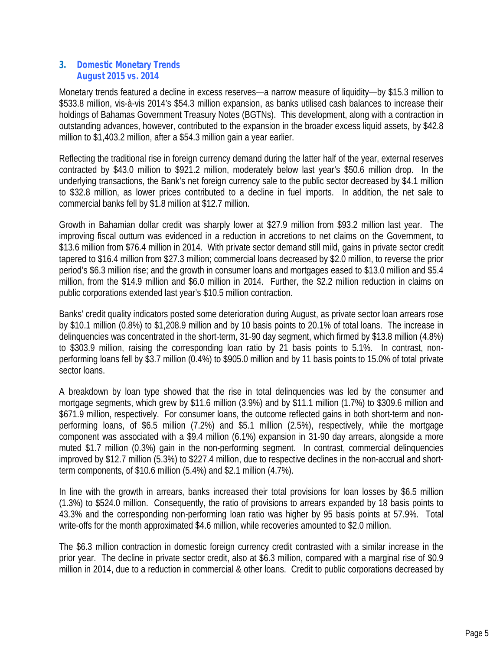## *3. Domestic Monetary Trends August 2015 vs. 2014*

Monetary trends featured a decline in excess reserves—a narrow measure of liquidity—by \$15.3 million to \$533.8 million, vis-à-vis 2014's \$54.3 million expansion, as banks utilised cash balances to increase their holdings of Bahamas Government Treasury Notes (BGTNs). This development, along with a contraction in outstanding advances, however, contributed to the expansion in the broader excess liquid assets, by \$42.8 million to \$1,403.2 million, after a \$54.3 million gain a year earlier.

Reflecting the traditional rise in foreign currency demand during the latter half of the year, external reserves contracted by \$43.0 million to \$921.2 million, moderately below last year's \$50.6 million drop. In the underlying transactions, the Bank's net foreign currency sale to the public sector decreased by \$4.1 million to \$32.8 million, as lower prices contributed to a decline in fuel imports. In addition, the net sale to commercial banks fell by \$1.8 million at \$12.7 million.

Growth in Bahamian dollar credit was sharply lower at \$27.9 million from \$93.2 million last year. The improving fiscal outturn was evidenced in a reduction in accretions to net claims on the Government, to \$13.6 million from \$76.4 million in 2014. With private sector demand still mild, gains in private sector credit tapered to \$16.4 million from \$27.3 million; commercial loans decreased by \$2.0 million, to reverse the prior period's \$6.3 million rise; and the growth in consumer loans and mortgages eased to \$13.0 million and \$5.4 million, from the \$14.9 million and \$6.0 million in 2014. Further, the \$2.2 million reduction in claims on public corporations extended last year's \$10.5 million contraction.

Banks' credit quality indicators posted some deterioration during August, as private sector loan arrears rose by \$10.1 million (0.8%) to \$1,208.9 million and by 10 basis points to 20.1% of total loans. The increase in delinquencies was concentrated in the short-term, 31-90 day segment, which firmed by \$13.8 million (4.8%) to \$303.9 million, raising the corresponding loan ratio by 21 basis points to 5.1%. In contrast, non performing loans fell by \$3.7 million (0.4%) to \$905.0 million and by 11 basis points to 15.0% of total private sector loans.

A breakdown by loan type showed that the rise in total delinguencies was led by the consumer and mortgage segments, which grew by \$11.6 million (3.9%) and by \$11.1 million (1.7%) to \$309.6 million and \$671.9 million, respectively. For consumer loans, the outcome reflected gains in both short-term and non performing loans, of \$6.5 million (7.2%) and \$5.1 million (2.5%), respectively, while the mortgage component was associated with a \$9.4 million (6.1%) expansion in 31-90 day arrears, alongside a more muted \$1.7 million (0.3%) gain in the non-performing segment. In contrast, commercial delinquencies improved by \$12.7 million (5.3%) to \$227.4 million, due to respective declines in the non-accrual and shortterm components, of \$10.6 million (5.4%) and \$2.1 million (4.7%).

In line with the growth in arrears, banks increased their total provisions for loan losses by \$6.5 million (1.3%) to \$524.0 million. Consequently, the ratio of provisions to arrears expanded by 18 basis points to 43.3% and the corresponding non-performing loan ratio was higher by 95 basis points at 57.9%. Total write-offs for the month approximated \$4.6 million, while recoveries amounted to \$2.0 million.

The \$6.3 million contraction in domestic foreign currency credit contrasted with a similar increase in the prior year. The decline in private sector credit, also at \$6.3 million, compared with a marginal rise of \$0.9 million in 2014, due to a reduction in commercial & other loans. Credit to public corporations decreased by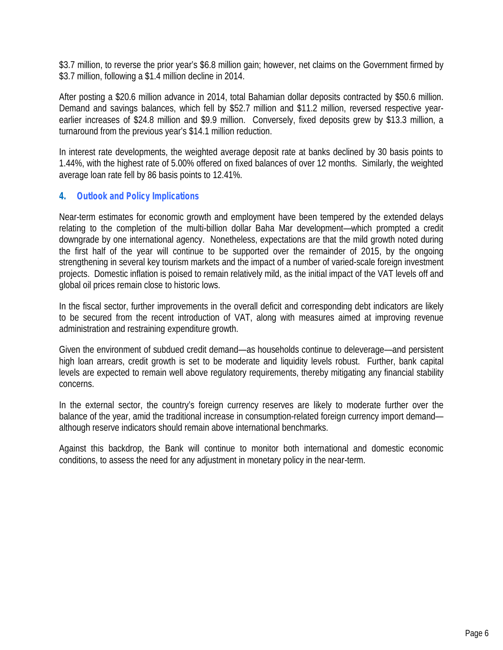\$3.7 million, to reverse the prior year's \$6.8 million gain; however, net claims on the Government firmed by \$3.7 million, following a \$1.4 million decline in 2014.

After posting a \$20.6 million advance in 2014, total Bahamian dollar deposits contracted by \$50.6 million. Demand and savings balances, which fell by \$52.7 million and \$11.2 million, reversed respective year earlier increases of \$24.8 million and \$9.9 million. Conversely, fixed deposits grew by \$13.3 million, a turnaround from the previous year's \$14.1 million reduction.

In interest rate developments, the weighted average deposit rate at banks declined by 30 basis points to 1.44%, with the highest rate of 5.00% offered on fixed balances of over 12 months. Similarly, the weighted average loan rate fell by 86 basis points to 12.41%.

# *4. Outlook and Policy Implications*

Near-term estimates for economic growth and employment have been tempered by the extended delays relating to the completion of the multi-billion dollar Baha Mar development—which prompted a credit downgrade by one international agency. Nonetheless, expectations are that the mild growth noted during the first half of the year will continue to be supported over the remainder of 2015, by the ongoing strengthening in several key tourism markets and the impact of a number of varied-scale foreign investment projects. Domestic inflation is poised to remain relatively mild, as the initial impact of the VAT levels off and global oil prices remain close to historic lows.

In the fiscal sector, further improvements in the overall deficit and corresponding debt indicators are likely to be secured from the recent introduction of VAT, along with measures aimed at improving revenue administration and restraining expenditure growth.

Given the environment of subdued credit demand—as households continue to deleverage—and persistent high loan arrears, credit growth is set to be moderate and liquidity levels robust. Further, bank capital levels are expected to remain well above regulatory requirements, thereby mitigating any financial stability concerns.

In the external sector, the country's foreign currency reserves are likely to moderate further over the balance of the year, amid the traditional increase in consumption-related foreign currency import demand although reserve indicators should remain above international benchmarks.

Against this backdrop, the Bank will continue to monitor both international and domestic economic conditions, to assess the need for any adjustment in monetary policy in the near-term.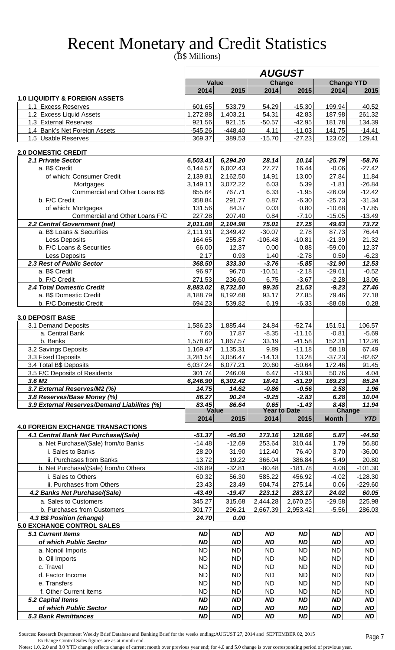# Recent Monetary and Credit Statistics

(B\$ Millions)

|                                                                  |                        |                        |                        | <b>AUGUST</b>                  |                        |                        |
|------------------------------------------------------------------|------------------------|------------------------|------------------------|--------------------------------|------------------------|------------------------|
|                                                                  |                        | Value                  |                        | Change                         | <b>Change YTD</b>      |                        |
|                                                                  | 2014                   | 2015                   | 2014                   | 2015                           | 2014                   | 2015                   |
| <b>1.0 LIQUIDITY &amp; FOREIGN ASSETS</b><br>1.1 Excess Reserves | 601.65                 | 533.79                 | 54.29                  | $-15.30$                       | 199.94                 | 40.52                  |
| 1.2 Excess Liquid Assets                                         | 1,272.88               | 1,403.21               | 54.31                  | 42.83                          | 187.98                 | 261.32                 |
| 1.3 External Reserves                                            | 921.56                 | 921.15                 | $-50.57$               | $-42.95$                       | 181.78                 | 134.39                 |
| 1.4 Bank's Net Foreign Assets                                    | $-545.26$              | $-448.40$              | 4.11                   | $-11.03$                       | 141.75                 | $-14.41$               |
| 1.5 Usable Reserves                                              | 369.37                 | 389.53                 | $-15.70$               | $-27.23$                       | 123.02                 | 129.41                 |
| <b>2.0 DOMESTIC CREDIT</b>                                       |                        |                        |                        |                                |                        |                        |
| 2.1 Private Sector                                               | 6,503.41               | 6,294.20               | 28.14                  | 10.14                          | $-25.79$               | $-58.76$               |
| a. B\$ Credit                                                    | 6,144.57               | 6,002.43               | 27.27                  | 16.44                          | $-0.06$                | $-27.42$               |
| of which: Consumer Credit                                        | 2,139.81               | 2,162.50               | 14.91                  | 13.00                          | 27.84                  | 11.84                  |
| Mortgages                                                        | 3,149.11               | 3,072.22               | 6.03                   | 5.39                           | $-1.81$                | $-26.84$               |
| Commercial and Other Loans B\$                                   | 855.64                 | 767.71                 | 6.33                   | $-1.95$                        | $-26.09$               | $-12.42$               |
| b. F/C Credit                                                    | 358.84                 | 291.77                 | 0.87                   | $-6.30$<br>0.80                | $-25.73$               | $-31.34$<br>$-17.85$   |
| of which: Mortgages<br>Commercial and Other Loans F/C            | 131.56<br>227.28       | 84.37<br>207.40        | 0.03<br>0.84           | $-7.10$                        | $-10.68$<br>$-15.05$   | $-13.49$               |
| 2.2 Central Government (net)                                     | 2,011.08               | 2,104.98               | 75.01                  | 17.25                          | 49.63                  | 73.72                  |
| a. B\$ Loans & Securities                                        | 2,111.91               | 2,349.42               | $-30.07$               | 2.78                           | 87.73                  | 76.44                  |
| Less Deposits                                                    | 164.65                 | 255.87                 | $-106.48$              | $-10.81$                       | $-21.39$               | 21.32                  |
| b. F/C Loans & Securities                                        | 66.00                  | 12.37                  | 0.00                   | 0.88                           | $-59.00$               | 12.37                  |
| Less Deposits                                                    | 2.17                   | 0.93                   | 1.40                   | $-2.78$                        | 0.50                   | $-6.23$                |
| 2.3 Rest of Public Sector                                        | 368.50                 | 333.30                 | $-3.76$                | $-5.85$                        | $-31.90$               | 12.53                  |
| a. B\$ Credit                                                    | 96.97                  | 96.70                  | $-10.51$               | $-2.18$                        | $-29.61$               | $-0.52$                |
| b. F/C Credit                                                    | 271.53                 | 236.60                 | 6.75                   | $-3.67$                        | $-2.28$                | 13.06                  |
| 2.4 Total Domestic Credit                                        | 8,883.02               | 8,732.50               | 99.35                  | 21.53                          | $-9.23$                | 27.46                  |
| a. B\$ Domestic Credit                                           | 8,188.79               | 8,192.68               | 93.17                  | 27.85                          | 79.46                  | 27.18                  |
| b. F/C Domestic Credit                                           | 694.23                 | 539.82                 | 6.19                   | $-6.33$                        | $-88.68$               | 0.28                   |
| <b>3.0 DEPOSIT BASE</b>                                          |                        |                        |                        |                                |                        |                        |
| 3.1 Demand Deposits                                              | 1,586.23               | 1,885.44               | 24.84                  | $-52.74$                       | 151.51                 | 106.57                 |
| a. Central Bank                                                  | 7.60                   | 17.87                  | $-8.35$                | $-11.16$                       | $-0.81$                | $-5.69$                |
| b. Banks                                                         | 1,578.62               | 1,867.57               | 33.19                  | $-41.58$                       | 152.31                 | 112.26                 |
| 3.2 Savings Deposits                                             | 1,169.47               | 1,135.31               | 9.89                   | $-11.18$                       | 58.18                  | 67.49                  |
| 3.3 Fixed Deposits<br>3.4 Total B\$ Deposits                     | 3,281.54<br>6,037.24   | 3,056.47<br>6,077.21   | $-14.13$<br>20.60      | 13.28<br>$-50.64$              | $-37.23$<br>172.46     | $-82.62$<br>91.45      |
| 3.5 F/C Deposits of Residents                                    | 301.74                 | 246.09                 | 6.47                   | $-13.93$                       | 50.76                  | 4.04                   |
| 3.6 M <sub>2</sub>                                               | 6,246.90               | 6,302.42               | 18.41                  | $-51.29$                       | 169.23                 | 85.24                  |
| 3.7 External Reserves/M2 (%)                                     | 14.75                  | 14.62                  | $-0.86$                | $-0.56$                        | 2.58                   | 1.96                   |
| 3.8 Reserves/Base Money (%)                                      | 86.27                  | 90.24                  | $-9.25$                | $-2.83$                        | 6.28                   | 10.04                  |
| 3.9 External Reserves/Demand Liabilites (%)                      | 83.45                  | 86.64<br><b>Value</b>  | 0.65                   | $-1.43$<br><b>Year to Date</b> | 8.48<br><b>Change</b>  | 11.94                  |
|                                                                  | 2014                   | 2015                   | 2014                   | 2015                           | <b>Month</b>           | <b>YTD</b>             |
| <b>4.0 FOREIGN EXCHANGE TRANSACTIONS</b>                         |                        |                        |                        |                                |                        |                        |
| 4.1 Central Bank Net Purchase/(Sale)                             | $-51.37$               | $-45.50$               | 173.16                 | 128.66                         | 5.87                   | $-44.50$               |
| a. Net Purchase/(Sale) from/to Banks                             | $-14.48$               | $-12.69$               | 253.64                 | 310.44                         | 1.79                   | 56.80                  |
| i. Sales to Banks                                                | 28.20                  | 31.90                  | 112.40                 | 76.40                          | 3.70                   | $-36.00$               |
| ii. Purchases from Banks                                         | 13.72                  | 19.22                  | 366.04                 | 386.84                         | 5.49                   | 20.80                  |
| b. Net Purchase/(Sale) from/to Others<br>i. Sales to Others      | $-36.89$<br>60.32      | $-32.81$<br>56.30      | $-80.48$<br>585.22     | $-181.78$<br>456.92            | 4.08<br>$-4.02$        | $-101.30$              |
| ii. Purchases from Others                                        | 23.43                  | 23.49                  | 504.74                 | 275.14                         | 0.06                   | $-128.30$<br>$-229.60$ |
| 4.2 Banks Net Purchase/(Sale)                                    | $-43.49$               | $-19.47$               | 223.12                 | 283.17                         | 24.02                  | 60.05                  |
| a. Sales to Customers                                            | 345.27                 | 315.68                 | 2,444.28               | 2,670.25                       | $-29.58$               | 225.98                 |
| b. Purchases from Customers                                      | 301.77                 | 296.21                 | 2,667.39               | 2,953.42                       | $-5.56$                | 286.03                 |
| 4.3 B\$ Position (change)                                        | 24.70                  | 0.00                   |                        |                                |                        |                        |
| <b>5.0 EXCHANGE CONTROL SALES</b>                                |                        |                        |                        |                                |                        |                        |
| <b>5.1 Current Items</b>                                         | <b>ND</b>              | <b>ND</b>              | <b>ND</b>              | <b>ND</b>                      | <b>ND</b>              | <b>ND</b>              |
| of which Public Sector                                           | <b>ND</b>              | <b>ND</b>              | <b>ND</b>              | <b>ND</b>                      | <b>ND</b>              | <b>ND</b>              |
| a. Nonoil Imports                                                | <b>ND</b>              | <b>ND</b>              | <b>ND</b>              | <b>ND</b>                      | <b>ND</b>              | <b>ND</b>              |
| b. Oil Imports                                                   | <b>ND</b>              | <b>ND</b>              | <b>ND</b>              | <b>ND</b>                      | <b>ND</b>              | <b>ND</b>              |
| c. Travel                                                        | <b>ND</b>              | <b>ND</b>              | <b>ND</b>              | <b>ND</b>                      | <b>ND</b>              | <b>ND</b>              |
| d. Factor Income                                                 | <b>ND</b>              | <b>ND</b>              | <b>ND</b>              | <b>ND</b>                      | <b>ND</b>              | <b>ND</b>              |
| e. Transfers<br>f. Other Current Items                           | <b>ND</b><br><b>ND</b> | <b>ND</b>              | <b>ND</b>              | <b>ND</b>                      | <b>ND</b><br><b>ND</b> | <b>ND</b>              |
| 5.2 Capital Items                                                | <b>ND</b>              | <b>ND</b><br><b>ND</b> | <b>ND</b><br><b>ND</b> | <b>ND</b><br><b>ND</b>         | <b>ND</b>              | <b>ND</b><br><b>ND</b> |
| of which Public Sector                                           | <b>ND</b>              | <b>ND</b>              | <b>ND</b>              | <b>ND</b>                      | <b>ND</b>              | <b>ND</b>              |
|                                                                  |                        |                        |                        |                                |                        |                        |

 Sources: Research Department Weekly Brief Database and Banking Brief for the weeks ending:AUGUST 27, 2014 and SEPTEMBER 02, 2015 Exchange Control Sales figures are as at month end.

Notes: 1.0, 2.0 and 3.0 YTD change reflects change of current month over previous year end; for 4.0 and 5.0 change is over corresponding period of previous year.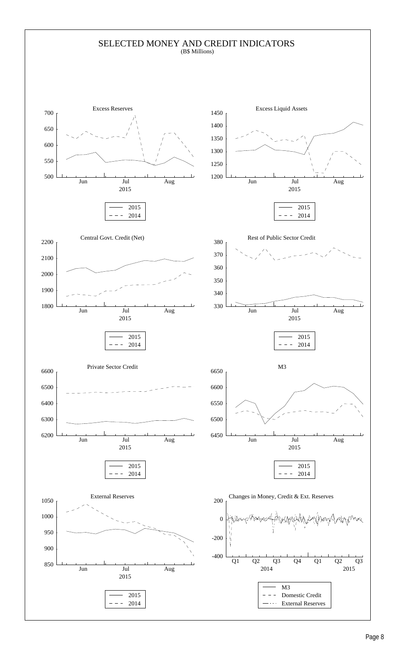### SELECTED MONEY AND CREDIT INDICATORS (B\$ Millions)

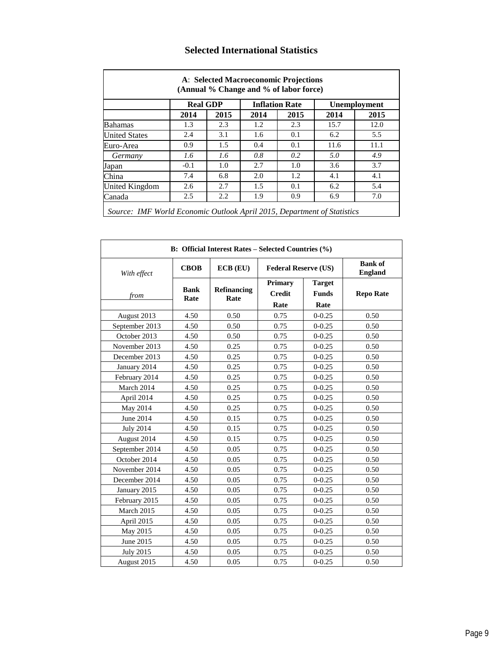|                      | <b>Real GDP</b> |      |      | <b>Inflation Rate</b> |      | <b>Unemployment</b> |
|----------------------|-----------------|------|------|-----------------------|------|---------------------|
|                      | 2014            | 2015 | 2014 | 2015                  | 2014 | 2015                |
| <b>Bahamas</b>       | 1.3             | 2.3  | 1.2  | 2.3                   | 15.7 | 12.0                |
| <b>United States</b> | 2.4             | 3.1  | 1.6  | 0.1                   | 6.2  | 5.5                 |
| Euro-Area            | 0.9             | 1.5  | 0.4  | 0.1                   | 11.6 | 11.1                |
| Germany              | 1.6             | 1.6  | 0.8  | 0.2                   | 5.0  | 4.9                 |
| Japan                | $-0.1$          | 1.0  | 2.7  | 1.0                   | 3.6  | 3.7                 |
| China                | 7.4             | 6.8  | 2.0  | 1.2                   | 4.1  | 4.1                 |
| United Kingdom       | 2.6             | 2.7  | 1.5  | 0.1                   | 6.2  | 5.4                 |
| Canada               | 2.5             | 2.2  | 1.9  | 0.9                   | 6.9  | 7.0                 |

# **Selected International Statistics**

| With effect      | <b>CBOB</b>         | $ECB$ $(EU)$        | <b>Federal Reserve (US)</b>             |                                       | <b>Bank of</b><br><b>England</b> |
|------------------|---------------------|---------------------|-----------------------------------------|---------------------------------------|----------------------------------|
| from             | <b>Bank</b><br>Rate | Refinancing<br>Rate | <b>Primary</b><br><b>Credit</b><br>Rate | <b>Target</b><br><b>Funds</b><br>Rate | <b>Repo Rate</b>                 |
| August 2013      | 4.50                | 0.50                | 0.75                                    | $0 - 0.25$                            | 0.50                             |
| September 2013   | 4.50                | 0.50                | 0.75                                    | $0 - 0.25$                            | 0.50                             |
| October 2013     | 4.50                | 0.50                | 0.75                                    | $0 - 0.25$                            | 0.50                             |
| November 2013    | 4.50                | 0.25                | 0.75                                    | $0 - 0.25$                            | 0.50                             |
| December 2013    | 4.50                | 0.25                | 0.75                                    | $0 - 0.25$                            | 0.50                             |
| January 2014     | 4.50                | 0.25                | 0.75                                    | $0 - 0.25$                            | 0.50                             |
| February 2014    | 4.50                | 0.25                | 0.75                                    | $0 - 0.25$                            | 0.50                             |
| March 2014       | 4.50                | 0.25                | 0.75                                    | $0 - 0.25$                            | 0.50                             |
| April 2014       | 4.50                | 0.25                | 0.75                                    | $0 - 0.25$                            | 0.50                             |
| May 2014         | 4.50                | 0.25                | 0.75                                    | $0 - 0.25$                            | 0.50                             |
| June 2014        | 4.50                | 0.15                | 0.75                                    | $0 - 0.25$                            | 0.50                             |
| <b>July 2014</b> | 4.50                | 0.15                | 0.75                                    | $0 - 0.25$                            | 0.50                             |
| August 2014      | 4.50                | 0.15                | 0.75                                    | $0 - 0.25$                            | 0.50                             |
| September 2014   | 4.50                | 0.05                | 0.75                                    | $0 - 0.25$                            | 0.50                             |
| October 2014     | 4.50                | 0.05                | 0.75                                    | $0 - 0.25$                            | 0.50                             |
| November 2014    | 4.50                | 0.05                | 0.75                                    | $0 - 0.25$                            | 0.50                             |
| December 2014    | 4.50                | 0.05                | 0.75                                    | $0 - 0.25$                            | 0.50                             |
| January 2015     | 4.50                | 0.05                | 0.75                                    | $0 - 0.25$                            | 0.50                             |
| February 2015    | 4.50                | 0.05                | 0.75                                    | $0 - 0.25$                            | 0.50                             |
| March 2015       | 4.50                | 0.05                | 0.75                                    | $0 - 0.25$                            | 0.50                             |
| April 2015       | 4.50                | 0.05                | 0.75                                    | $0 - 0.25$                            | 0.50                             |
| May 2015         | 4.50                | 0.05                | 0.75                                    | $0 - 0.25$                            | 0.50                             |
| June 2015        | 4.50                | 0.05                | 0.75                                    | $0 - 0.25$                            | 0.50                             |
| <b>July 2015</b> | 4.50                | 0.05                | 0.75                                    | $0 - 0.25$                            | 0.50                             |
| August 2015      | 4.50                | 0.05                | 0.75                                    | $0 - 0.25$                            | 0.50                             |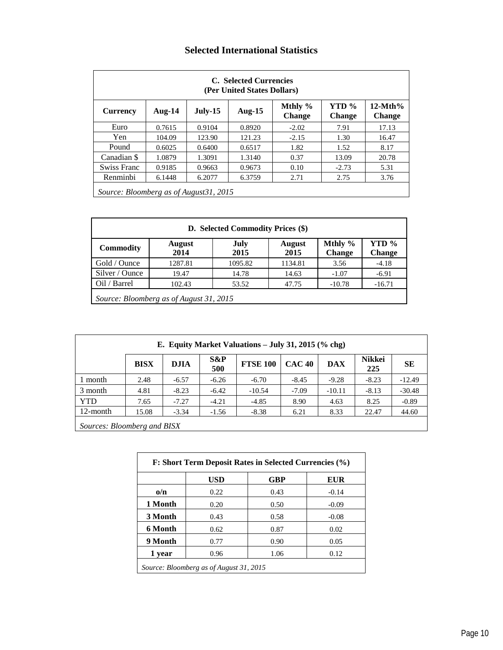# **Selected International Statistics**

|                                         |           |         | C. Selected Currencies<br>(Per United States Dollars) |                          |                        |                            |
|-----------------------------------------|-----------|---------|-------------------------------------------------------|--------------------------|------------------------|----------------------------|
| <b>Currency</b>                         | Aug- $14$ | July-15 | Aug-15                                                | Mthly %<br><b>Change</b> | YTD %<br><b>Change</b> | $12-Mth%$<br><b>Change</b> |
| Euro                                    | 0.7615    | 0.9104  | 0.8920                                                | $-2.02$                  | 7.91                   | 17.13                      |
| Yen.                                    | 104.09    | 123.90  | 121.23                                                | $-2.15$                  | 1.30                   | 16.47                      |
| Pound                                   | 0.6025    | 0.6400  | 0.6517                                                | 1.82                     | 1.52                   | 8.17                       |
| Canadian \$                             | 1.0879    | 1.3091  | 1.3140                                                | 0.37                     | 13.09                  | 20.78                      |
| Swiss Franc                             | 0.9185    | 0.9663  | 0.9673                                                | 0.10                     | $-2.73$                | 5.31                       |
| Renminbi                                | 6.1448    | 6.2077  | 6.3759                                                | 2.71                     | 2.75                   | 3.76                       |
| Source: Bloomberg as of August 31, 2015 |           |         |                                                       |                          |                        |                            |

|                  |                                         | D. Selected Commodity Prices (\$) |                       |                            |                        |
|------------------|-----------------------------------------|-----------------------------------|-----------------------|----------------------------|------------------------|
| <b>Commodity</b> | <b>August</b><br>2014                   | July<br>2015                      | <b>August</b><br>2015 | Mthly $%$<br><b>Change</b> | YTD %<br><b>Change</b> |
| Gold / Ounce     | 1287.81                                 | 1095.82                           | 1134.81               | 3.56                       | $-4.18$                |
| Silver / Ounce   | 19.47                                   | 14.78                             | 14.63                 | $-1.07$                    | $-6.91$                |
| Oil / Barrel     | 102.43                                  | 53.52                             | 47.75                 | $-10.78$                   | $-16.71$               |
|                  | Source: Bloomberg as of August 31, 2015 |                                   |                       |                            |                        |

|                             |             |             |            | E. Equity Market Valuations $-$ July 31, 2015 (% chg) |               |            |                      |           |
|-----------------------------|-------------|-------------|------------|-------------------------------------------------------|---------------|------------|----------------------|-----------|
|                             | <b>BISX</b> | <b>DJIA</b> | S&P<br>500 | <b>FTSE 100</b>                                       | <b>CAC 40</b> | <b>DAX</b> | <b>Nikkei</b><br>225 | <b>SE</b> |
| 1 month                     | 2.48        | $-6.57$     | $-6.26$    | $-6.70$                                               | $-8.45$       | $-9.28$    | $-8.23$              | $-12.49$  |
| 3 month                     | 4.81        | $-8.23$     | $-6.42$    | $-10.54$                                              | $-7.09$       | $-10.11$   | $-8.13$              | $-30.48$  |
| <b>YTD</b>                  | 7.65        | $-7.27$     | $-4.21$    | $-4.85$                                               | 8.90          | 4.63       | 8.25                 | $-0.89$   |
| 12-month                    | 15.08       | $-3.34$     | $-1.56$    | $-8.38$                                               | 6.21          | 8.33       | 22.47                | 44.60     |
| Sources: Bloomberg and BISX |             |             |            |                                                       |               |            |                      |           |

|            | <b>USD</b> | <b>GBP</b> | <b>EUR</b> |
|------------|------------|------------|------------|
| $\omega/n$ | 0.22       | 0.43       | $-0.14$    |
| 1 Month    | 0.20       | 0.50       | $-0.09$    |
| 3 Month    | 0.43       | 0.58       | $-0.08$    |
| 6 Month    | 0.62       | 0.87       | 0.02       |
| 9 Month    | 0.77       | 0.90       | 0.05       |
| 1 year     | 0.96       | 1.06       | 0.12       |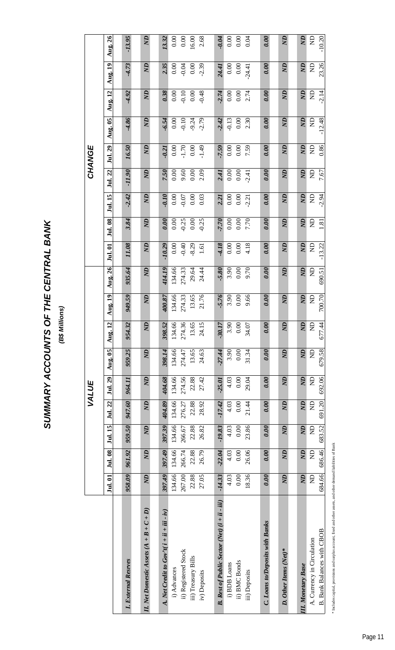# SUMMARY ACCOUNTS OF THE CENTRAL BANK **SUMMARY ACCOUNTS OF THE CENTRAL BANK**

(B\$ Millions) **(B\$ Millions)**

| Jul. 01                                                    |                |           | VALUE          |                |                |                |                              |                |                |                |                |                | CHANGE         |                |                |                             |                |
|------------------------------------------------------------|----------------|-----------|----------------|----------------|----------------|----------------|------------------------------|----------------|----------------|----------------|----------------|----------------|----------------|----------------|----------------|-----------------------------|----------------|
|                                                            | Jul. 08        | Jul. 15   | Jul. 22        | Jul. 29        | <b>Aug. 05</b> | <b>Aug. 12</b> | $\overline{\text{Aug}}$ . 19 | Aug. 26        | Jul. 01        | Jul. 08        | Jul. 15        | Jul. 22        | Jul. 29        | <b>Aug. 05</b> | <b>Aug. 12</b> | $\overline{\text{Aug.}}$ 19 | <b>Aug. 26</b> |
|                                                            |                |           |                |                |                |                |                              |                |                |                |                |                |                |                |                |                             |                |
| 958.09<br>I. External Resrves                              | 961.92         | 959.50    | 947.60         | 964.11         | 959.25         | 954.32         | 949.59                       | 935.64         | 11.08          | 3.84           | $-2.42$        | $-11.90$       | 16.50          | $-4.86$        | $-4.92$        | $-4.73$                     | $-13.95$       |
| $\overline{M}$<br>I. Net Domestic Assets $(A + B + C + D)$ | $\overline{a}$ | <b>AN</b> | $\overline{a}$ | $\overline{a}$ | $\overline{a}$ | $\overline{a}$ | $\mathbb{Z}$                 | $\overline{a}$ | $\mathbb{Z}$   | QN             | $\overline{a}$ | $\mathbb{Z}$   | Q <sub>N</sub> | $\overline{a}$ | $\overline{a}$ | $\mathbb{Z}$                | $\overline{a}$ |
| 397.49<br>A. Net Credit to $Gov'$ t( $i + ii + iii - iv$ ) | 397.49         | 397.39    | 404.89         | 404.68         | 398.14         | 398.52         | 400.87                       | 414.19         | $-10.29$       | 0.00           | $-0.10$        | 7.50           | 0.21           | $-6.54$        | 0.38           | 2.35                        | 13.32          |
| 134.66<br>i) Advances                                      | 134.66         | 134.66    | 134.66         | 134.66         | 134.66         | 134.66         | 134.66                       | 134.66         | 0.00           | $0.00\,$       | 0.00           | 0.00           | 0.00           | 0.00           | $0.00\,$       | 0.00                        | 0.00           |
| 267.00<br>ii) Registered Stock                             | 266.74         | 266.67    | 276.27         | 274.56         | 274.47         | 274.36         | 274.33                       | 274.33         | $-0.40$        | $-0.25$        | $-0.07$        | 9.60           | $-1.70$        | $-0.10$        | $-0.10$        | $-0.04$                     | 0.00           |
| 22.88<br>iii) Treasury Bills                               | 22.88          | 22.88     | 22.88          | 22.88          | 13.65          | 13.65          | 13.65                        | 29.64          | $-8.29$        | $0.00\,$       | 0.00           | 0.00           | $0.00\,$       | $-9.24$        | 0.00           | $0.00\,$                    | 16.00          |
| 27.05<br>iv) Deposits                                      | 26.79          | 26.82     | 28.92          | 27.42          | 24.63          | 24.15          | 21.76                        | 24.44          | 1.61           | $-0.25$        | 0.03           | 2.09           | $-1.49$        | $-2.79$        | $-0.48$        | $-2.39$                     | 2.68           |
|                                                            |                |           |                |                |                |                |                              |                |                |                |                |                |                |                |                |                             |                |
| $-14.33$<br>B. Rest of Public Sector (Net) (i + ii - iii)  | $-22.04$       | $-19.83$  | $-17.42$       | $-25.01$       | $-27.44$       | $-30.17$       | 5.76                         | 5.80           | $-4.18$        | 7.70           | 2.21           | 2.41           | 7.59           | $-2.42$        | 2.74           | 24.41                       | $-0.04$        |
| 4.03<br>i) BDB Loans                                       | 4.03           | 4.03      | 4.03           | 4.03           | 3.90           | 3.90           | 3.90                         | 3.90           | 0.00           | 0.00           | 0.00           | 0.00           | 0.00           | $-0.13$        | 0.00           | 0.00                        | 0.00           |
| 0.00<br>ii) BMC Bonds                                      | 0.00           | 0.00      | 0.00           | 0.00           | 0.00           | 0.00           | 0.00                         | 0.00           | 0.00           | 0.00           | 0.00           | 0.00           | 0.00           | $0.00\,$       | 0.00           | 0.00                        | 0.00           |
| 18.36<br>iii) Deposits                                     | 26.06          | 23.86     | 21.44          | 29.04          | 31.34          | 34.07          | 9.66                         | 9.70           | 4.18           | 7.70           | 2.21           | $-2.41$        | 7.59           | 2.30           | 2.74           | $-24.41$                    | 0.04           |
|                                                            |                |           |                |                |                |                |                              |                |                |                |                |                |                |                |                |                             |                |
| 0.00 <br><b>C. Loans to/Deposits with Banks</b>            | 0.00           | 0.00      | 0.00           | 0.00           | 0.00           | 0.00           | 0.00                         | 0.00           | 0.00           | 0.00           | 0.00           | 0.00           | 0.00           | 0.00           | 0.00           | 0.00                        | 0.00           |
|                                                            |                |           |                |                |                |                |                              |                |                |                |                |                |                |                |                |                             |                |
| $\overline{a}$<br>D. Other Items (Net)*                    | <b>Q</b>       | <b>Q</b>  | $\overline{N}$ | <b>Q</b>       | <b>Q</b>       | <b>Q</b>       | $\overline{M}$               | $\overline{a}$ | $\overline{M}$ | $\overline{M}$ | $\overline{a}$ | $\overline{a}$ | $\overline{M}$ | $\overline{M}$ | $\overline{a}$ | $\mathbb{Z}$                | $\overline{a}$ |
|                                                            |                |           |                |                |                |                |                              |                |                |                |                |                |                |                |                |                             |                |
| $\overline{M}$<br><b>I.</b> Monetary Base                  | $\overline{a}$ | <b>Z</b>  | <b>Q</b>       | <b>AN</b>      | <b>AN</b>      | <b>AN</b>      | <b>AN</b>                    | <b>Q</b>       | <b>QN</b>      | $\overline{a}$ | <b>Q</b>       | Ø              | $\overline{a}$ | $\overline{a}$ | <b>QN</b>      | $\mathbb{Z}$                | $\overline{a}$ |
| $\Xi$<br>A. Currency in Circulation                        | $\Xi$          | $\Xi$     | $\Xi$          | $\Xi$          | $\Xi$          | $\Xi$          | $\Xi$                        | $\Xi$          | g              | g              | $\Xi$          | £              | $\Xi$          | g              | g              | $\Xi$                       | g              |
| 684.66<br>B. Bank Balances with CBOB                       | 686.46         | 683.52    | 691.20         | 692.06         | 679.58         | 677.44         | 700.70                       | 690.51         | $-13.22$       | 1.81           | $-2.94$        | 7.67           | 0.86           | $-12.48$       | $-2.14$        | 23.26                       | $-10.20$       |

\* Includes capital, provisions and surplus account, fixed and other assets, and other demand liabilities of Bank \* Includes capital, provisions and surplus account, fixed and other assets, and other demand liabilities of Bank